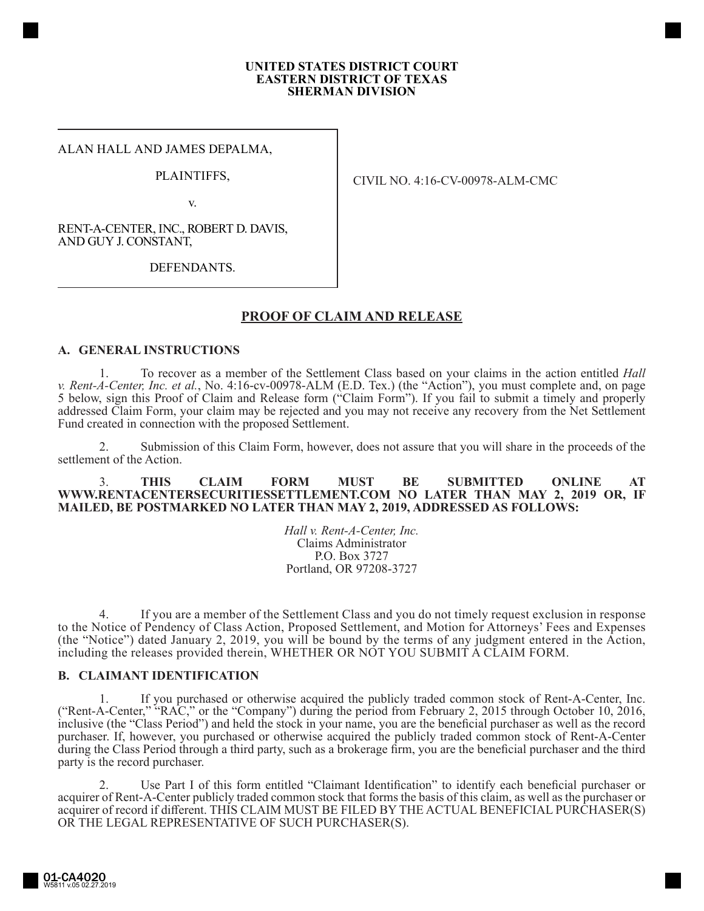#### **UNITED STATES DISTRICT COURT EASTERN DISTRICT OF TEXAS SHERMAN DIVISION**

ALAN HALL AND JAMES DEPALMA,

### PLAINTIFFS,

v.

CIVIL NO. 4:16-CV-00978-ALM-CMC

RENT-A-CENTER, INC., ROBERT D. DAVIS, AND GUY J. CONSTANT,

DEFENDANTS.

# **PROOF OF CLAIM AND RELEASE**

#### **A. GENERAL INSTRUCTIONS**

1. To recover as a member of the Settlement Class based on your claims in the action entitled *Hall v. Rent-A-Center, Inc. et al.*, No. 4:16-cv-00978-ALM (E.D. Tex.) (the "Action"), you must complete and, on page 5 below, sign this Proof of Claim and Release form ("Claim Form"). If you fail to submit a timely and properly addressed Claim Form, your claim may be rejected and you may not receive any recovery from the Net Settlement Fund created in connection with the proposed Settlement.

2. Submission of this Claim Form, however, does not assure that you will share in the proceeds of the settlement of the Action.

3. **THIS CLAIM FORM MUST BE SUBMITTED ONLINE AT WWW.RENTACENTERSECURITIESSETTLEMENT.COM NO LATER THAN MAY 2, 2019 OR, IF MAILED, BE POSTMARKED NO LATER THAN MAY 2, 2019, ADDRESSED AS FOLLOWS:**

> *Hall v. Rent-A-Center, Inc.* Claims Administrator P.O. Box 3727 Portland, OR 97208-3727

4. If you are a member of the Settlement Class and you do not timely request exclusion in response to the Notice of Pendency of Class Action, Proposed Settlement, and Motion for Attorneys' Fees and Expenses (the "Notice") dated January 2, 2019, you will be bound by the terms of any judgment entered in the Action, including the releases provided therein, WHETHER OR NOT YOU SUBMIT A CLAIM FORM.

### **B. CLAIMANT IDENTIFICATION**

1. If you purchased or otherwise acquired the publicly traded common stock of Rent-A-Center, Inc. ("Rent-A-Center," "RAC," or the "Company") during the period from February 2, 2015 through October 10, 2016, inclusive (the "Class Period") and held the stock in your name, you are the beneficial purchaser as well as the record purchaser. If, however, you purchased or otherwise acquired the publicly traded common stock of Rent-A-Center during the Class Period through a third party, such as a brokerage firm, you are the beneficial purchaser and the third party is the record purchaser.

2. Use Part I of this form entitled "Claimant Identification" to identify each beneficial purchaser or acquirer of Rent-A-Center publicly traded common stock that forms the basis of this claim, as well as the purchaser or acquirer of record if different. THIS CLAIM MUST BE FILED BY THE ACTUAL BENEFICIAL PURCHASER(S) OR THE LEGAL REPRESENTATIVE OF SUCH PURCHASER(S).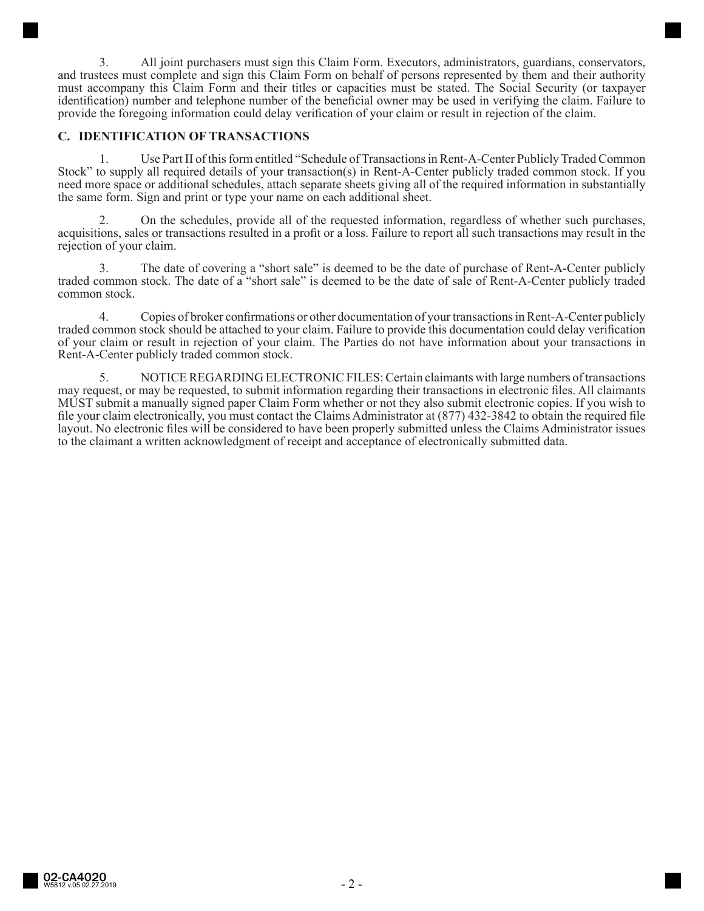3. All joint purchasers must sign this Claim Form. Executors, administrators, guardians, conservators, and trustees must complete and sign this Claim Form on behalf of persons represented by them and their authority must accompany this Claim Form and their titles or capacities must be stated. The Social Security (or taxpayer identification) number and telephone number of the beneficial owner may be used in verifying the claim. Failure to provide the foregoing information could delay verification of your claim or result in rejection of the claim.

### **C. IDENTIFICATION OF TRANSACTIONS**

1. Use Part II of this form entitled "Schedule of Transactions in Rent-A-Center Publicly Traded Common Stock" to supply all required details of your transaction(s) in Rent-A-Center publicly traded common stock. If you need more space or additional schedules, attach separate sheets giving all of the required information in substantially the same form. Sign and print or type your name on each additional sheet.

2. On the schedules, provide all of the requested information, regardless of whether such purchases, acquisitions, sales or transactions resulted in a profit or a loss. Failure to report all such transactions may result in the rejection of your claim.

3. The date of covering a "short sale" is deemed to be the date of purchase of Rent-A-Center publicly traded common stock. The date of a "short sale" is deemed to be the date of sale of Rent-A-Center publicly traded common stock.

4. Copies of broker confirmations or other documentation of your transactions in Rent-A-Center publicly traded common stock should be attached to your claim. Failure to provide this documentation could delay verification of your claim or result in rejection of your claim. The Parties do not have information about your transactions in Rent-A-Center publicly traded common stock.

5. NOTICE REGARDING ELECTRONIC FILES: Certain claimants with large numbers of transactions may request, or may be requested, to submit information regarding their transactions in electronic files. All claimants MUST submit a manually signed paper Claim Form whether or not they also submit electronic copies. If you wish to file your claim electronically, you must contact the Claims Administrator at (877) 432-3842 to obtain the required file layout. No electronic files will be considered to have been properly submitted unless the Claims Administrator issues to the claimant a written acknowledgment of receipt and acceptance of electronically submitted data.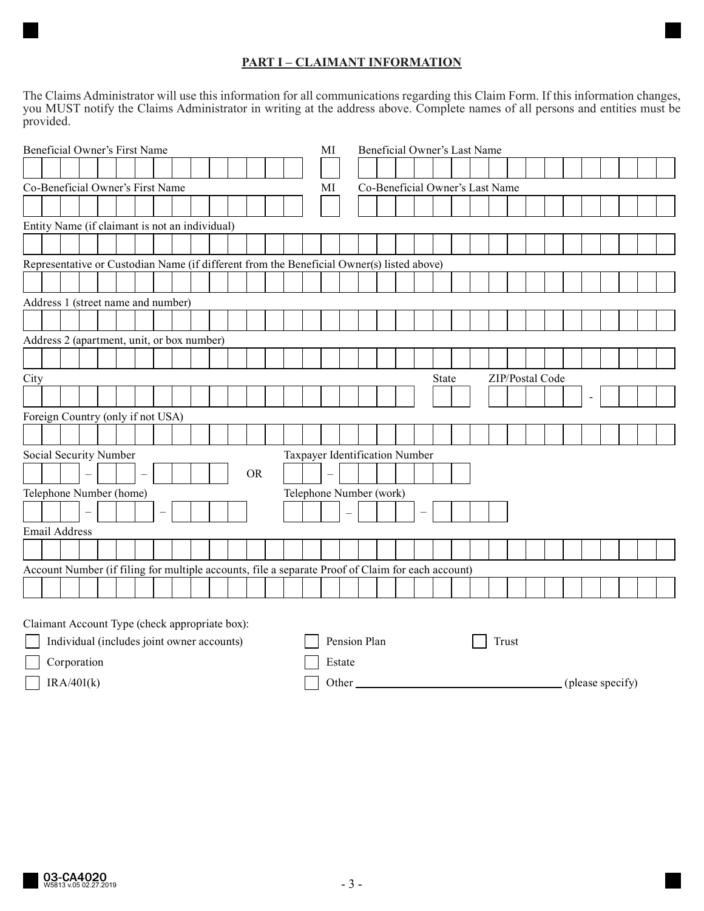# **PART I – CLAIMANT INFORMATION**

The Claims Administrator will use this information for all communications regarding this Claim Form. If this information changes, you MUST notify the Claims Administrator in writing at the address above. Complete names of all persons and entities must be provided.

| Beneficial Owner's First Name                                                                     |                                                |  |  |  |  |                          |  |                                | MI |                                 | Beneficial Owner's Last Name |  |  |                   |  |                         |  |  |  |       |  |  |  |  |                 |  |  |  |  |  |
|---------------------------------------------------------------------------------------------------|------------------------------------------------|--|--|--|--|--------------------------|--|--------------------------------|----|---------------------------------|------------------------------|--|--|-------------------|--|-------------------------|--|--|--|-------|--|--|--|--|-----------------|--|--|--|--|--|
|                                                                                                   |                                                |  |  |  |  |                          |  |                                |    |                                 |                              |  |  |                   |  |                         |  |  |  |       |  |  |  |  |                 |  |  |  |  |  |
| Co-Beneficial Owner's First Name                                                                  |                                                |  |  |  |  |                          |  | МI                             |    | Co-Beneficial Owner's Last Name |                              |  |  |                   |  |                         |  |  |  |       |  |  |  |  |                 |  |  |  |  |  |
|                                                                                                   |                                                |  |  |  |  |                          |  |                                |    |                                 |                              |  |  |                   |  |                         |  |  |  |       |  |  |  |  |                 |  |  |  |  |  |
| Entity Name (if claimant is not an individual)                                                    |                                                |  |  |  |  |                          |  |                                |    |                                 |                              |  |  |                   |  |                         |  |  |  |       |  |  |  |  |                 |  |  |  |  |  |
|                                                                                                   |                                                |  |  |  |  |                          |  |                                |    |                                 |                              |  |  |                   |  |                         |  |  |  |       |  |  |  |  |                 |  |  |  |  |  |
| Representative or Custodian Name (if different from the Beneficial Owner(s) listed above)         |                                                |  |  |  |  |                          |  |                                |    |                                 |                              |  |  |                   |  |                         |  |  |  |       |  |  |  |  |                 |  |  |  |  |  |
|                                                                                                   |                                                |  |  |  |  |                          |  |                                |    |                                 |                              |  |  |                   |  |                         |  |  |  |       |  |  |  |  |                 |  |  |  |  |  |
|                                                                                                   | Address 1 (street name and number)             |  |  |  |  |                          |  |                                |    |                                 |                              |  |  |                   |  |                         |  |  |  |       |  |  |  |  |                 |  |  |  |  |  |
|                                                                                                   |                                                |  |  |  |  |                          |  |                                |    |                                 |                              |  |  |                   |  |                         |  |  |  |       |  |  |  |  |                 |  |  |  |  |  |
| Address 2 (apartment, unit, or box number)                                                        |                                                |  |  |  |  |                          |  |                                |    |                                 |                              |  |  |                   |  |                         |  |  |  |       |  |  |  |  |                 |  |  |  |  |  |
|                                                                                                   |                                                |  |  |  |  |                          |  |                                |    |                                 |                              |  |  |                   |  |                         |  |  |  |       |  |  |  |  |                 |  |  |  |  |  |
| City                                                                                              |                                                |  |  |  |  |                          |  |                                |    |                                 |                              |  |  |                   |  |                         |  |  |  | State |  |  |  |  | ZIP/Postal Code |  |  |  |  |  |
|                                                                                                   |                                                |  |  |  |  |                          |  |                                |    |                                 |                              |  |  |                   |  |                         |  |  |  |       |  |  |  |  |                 |  |  |  |  |  |
| Foreign Country (only if not USA)                                                                 |                                                |  |  |  |  |                          |  |                                |    |                                 |                              |  |  |                   |  |                         |  |  |  |       |  |  |  |  |                 |  |  |  |  |  |
|                                                                                                   |                                                |  |  |  |  |                          |  |                                |    |                                 |                              |  |  |                   |  |                         |  |  |  |       |  |  |  |  |                 |  |  |  |  |  |
| Social Security Number                                                                            |                                                |  |  |  |  |                          |  | Taxpayer Identification Number |    |                                 |                              |  |  |                   |  |                         |  |  |  |       |  |  |  |  |                 |  |  |  |  |  |
|                                                                                                   |                                                |  |  |  |  |                          |  |                                |    |                                 | <b>OR</b>                    |  |  | $\qquad \qquad -$ |  |                         |  |  |  |       |  |  |  |  |                 |  |  |  |  |  |
| Telephone Number (home)                                                                           |                                                |  |  |  |  |                          |  |                                |    |                                 |                              |  |  |                   |  | Telephone Number (work) |  |  |  |       |  |  |  |  |                 |  |  |  |  |  |
|                                                                                                   |                                                |  |  |  |  | $\overline{\phantom{0}}$ |  |                                |    |                                 |                              |  |  |                   |  |                         |  |  |  |       |  |  |  |  |                 |  |  |  |  |  |
| Email Address                                                                                     |                                                |  |  |  |  |                          |  |                                |    |                                 |                              |  |  |                   |  |                         |  |  |  |       |  |  |  |  |                 |  |  |  |  |  |
|                                                                                                   |                                                |  |  |  |  |                          |  |                                |    |                                 |                              |  |  |                   |  |                         |  |  |  |       |  |  |  |  |                 |  |  |  |  |  |
| Account Number (if filing for multiple accounts, file a separate Proof of Claim for each account) |                                                |  |  |  |  |                          |  |                                |    |                                 |                              |  |  |                   |  |                         |  |  |  |       |  |  |  |  |                 |  |  |  |  |  |
|                                                                                                   |                                                |  |  |  |  |                          |  |                                |    |                                 |                              |  |  |                   |  |                         |  |  |  |       |  |  |  |  |                 |  |  |  |  |  |
|                                                                                                   |                                                |  |  |  |  |                          |  |                                |    |                                 |                              |  |  |                   |  |                         |  |  |  |       |  |  |  |  |                 |  |  |  |  |  |
|                                                                                                   | Claimant Account Type (check appropriate box): |  |  |  |  |                          |  |                                |    |                                 |                              |  |  |                   |  |                         |  |  |  |       |  |  |  |  |                 |  |  |  |  |  |

| Individual (includes joint owner accounts) | Pension Plan | Trust |                  |
|--------------------------------------------|--------------|-------|------------------|
| Corporation                                | Estate       |       |                  |
| IRA/401(k)                                 | Other        |       | (please specify) |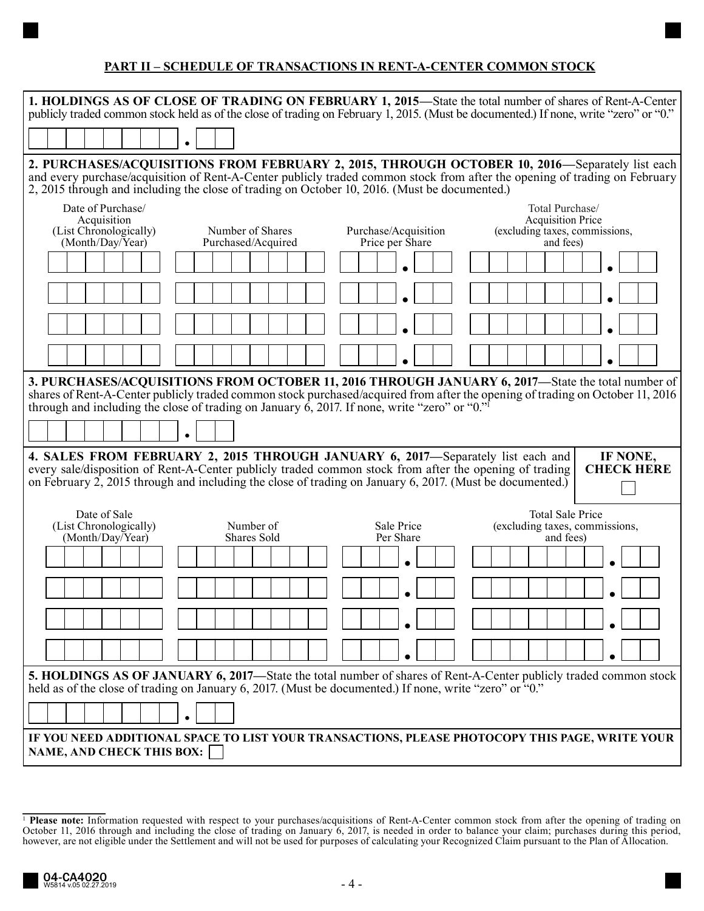## **PART II – SCHEDULE OF TRANSACTIONS IN RENT-A-CENTER COMMON STOCK**

| 1. HOLDINGS AS OF CLOSE OF TRADING ON FEBRUARY 1, 2015—State the total number of shares of Rent-A-Center<br>publicly traded common stock held as of the close of trading on February 1, 2015. (Must be documented.) If none, write "zero" or "0."                                                                                                                |                                        |                                         |                                                                                            |  |  |  |  |  |  |  |
|------------------------------------------------------------------------------------------------------------------------------------------------------------------------------------------------------------------------------------------------------------------------------------------------------------------------------------------------------------------|----------------------------------------|-----------------------------------------|--------------------------------------------------------------------------------------------|--|--|--|--|--|--|--|
|                                                                                                                                                                                                                                                                                                                                                                  |                                        |                                         |                                                                                            |  |  |  |  |  |  |  |
| 2. PURCHASES/ACQUISITIONS FROM FEBRUARY 2, 2015, THROUGH OCTOBER 10, 2016—Separately list each<br>and every purchase/acquisition of Rent-A-Center publicly traded common stock from after the opening of trading on February<br>2, 2015 through and including the close of trading on October 10, 2016. (Must be documented.)                                    |                                        |                                         |                                                                                            |  |  |  |  |  |  |  |
| Date of Purchase/<br>Acquisition<br>(List Chronologically)<br>(Month/Day/Year)                                                                                                                                                                                                                                                                                   | Number of Shares<br>Purchased/Acquired | Purchase/Acquisition<br>Price per Share | Total Purchase/<br><b>Acquisition Price</b><br>(excluding taxes, commissions,<br>and fees) |  |  |  |  |  |  |  |
|                                                                                                                                                                                                                                                                                                                                                                  |                                        |                                         |                                                                                            |  |  |  |  |  |  |  |
|                                                                                                                                                                                                                                                                                                                                                                  |                                        |                                         |                                                                                            |  |  |  |  |  |  |  |
|                                                                                                                                                                                                                                                                                                                                                                  |                                        |                                         |                                                                                            |  |  |  |  |  |  |  |
| 3. PURCHASES/ACQUISITIONS FROM OCTOBER 11, 2016 THROUGH JANUARY 6, 2017—State the total number of<br>shares of Rent-A-Center publicly traded common stock purchased/acquired from after the opening of trading on October 11, 2016<br>through and including the close of trading on January 6, 2017. If none, write "zero" or " $0$ ." <sup>1</sup><br>$\bullet$ |                                        |                                         |                                                                                            |  |  |  |  |  |  |  |
| 4. SALES FROM FEBRUARY 2, 2015 THROUGH JANUARY 6, 2017-Separately list each and<br>IF NONE,<br>every sale/disposition of Rent-A-Center publicly traded common stock from after the opening of trading<br><b>CHECK HERE</b><br>on February 2, 2015 through and including the close of trading on January 6, 2017. (Must be documented.)                           |                                        |                                         |                                                                                            |  |  |  |  |  |  |  |
| Date of Sale<br><b>Total Sale Price</b><br>(List Chronologically)<br>Number of<br>Sale Price<br>(excluding taxes, commissions,<br>(Month/Day/Year)<br>Shares Sold<br>Per Share<br>and fees)                                                                                                                                                                      |                                        |                                         |                                                                                            |  |  |  |  |  |  |  |
|                                                                                                                                                                                                                                                                                                                                                                  |                                        |                                         |                                                                                            |  |  |  |  |  |  |  |
|                                                                                                                                                                                                                                                                                                                                                                  |                                        |                                         |                                                                                            |  |  |  |  |  |  |  |
|                                                                                                                                                                                                                                                                                                                                                                  |                                        |                                         |                                                                                            |  |  |  |  |  |  |  |
|                                                                                                                                                                                                                                                                                                                                                                  |                                        |                                         |                                                                                            |  |  |  |  |  |  |  |
| <b>5. HOLDINGS AS OF JANUARY 6, 2017—State the total number of shares of Rent-A-Center publicly traded common stock</b><br>held as of the close of trading on January 6, 2017. (Must be documented.) If none, write "zero" or "0."                                                                                                                               |                                        |                                         |                                                                                            |  |  |  |  |  |  |  |
| $\bullet$                                                                                                                                                                                                                                                                                                                                                        |                                        |                                         |                                                                                            |  |  |  |  |  |  |  |
| IF YOU NEED ADDITIONAL SPACE TO LIST YOUR TRANSACTIONS, PLEASE PHOTOCOPY THIS PAGE, WRITE YOUR<br><b>NAME, AND CHECK THIS BOX:</b>                                                                                                                                                                                                                               |                                        |                                         |                                                                                            |  |  |  |  |  |  |  |

<sup>&</sup>lt;sup>1</sup> Please note: Information requested with respect to your purchases/acquisitions of Rent-A-Center common stock from after the opening of trading on October 11, 2016 through and including the close of trading on January 6, 2017, is needed in order to balance your claim; purchases during this period, however, are not eligible under the Settlement and will not be used for purposes of calculating your Recognized Claim pursuant to the Plan of Allocation.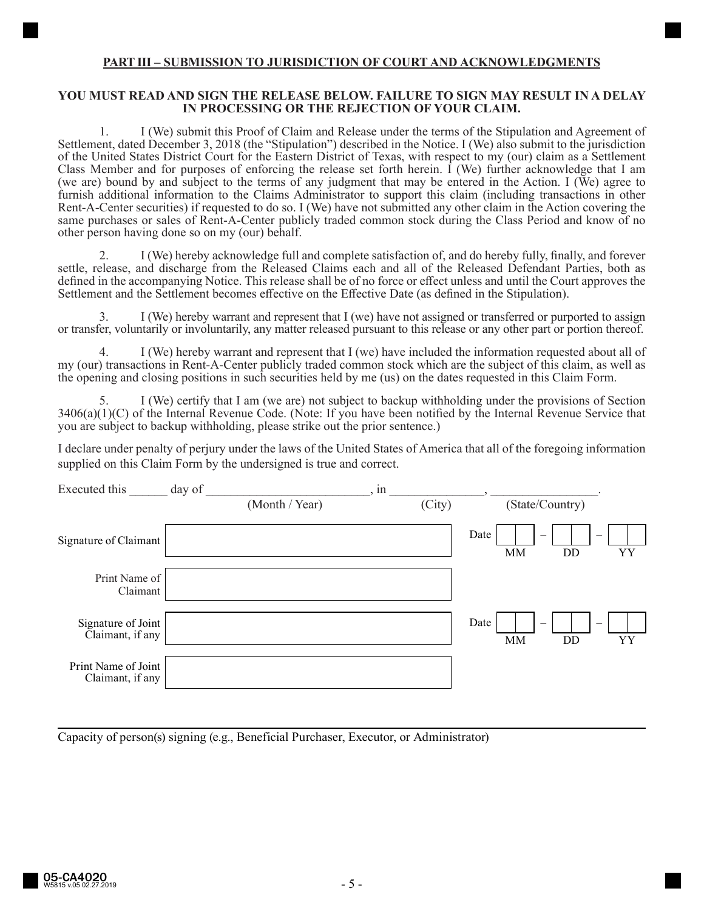### **PART III – SUBMISSION TO JURISDICTION OF COURT AND ACKNOWLEDGMENTS**

### **YOU MUST READ AND SIGN THE RELEASE BELOW. FAILURE TO SIGN MAY RESULT IN A DELAY IN PROCESSING OR THE REJECTION OF YOUR CLAIM.**

1. I (We) submit this Proof of Claim and Release under the terms of the Stipulation and Agreement of Settlement, dated December 3, 2018 (the "Stipulation") described in the Notice. I (We) also submit to the jurisdiction of the United States District Court for the Eastern District of Texas, with respect to my (our) claim as a Settlement Class Member and for purposes of enforcing the release set forth herein. I (We) further acknowledge that I am (we are) bound by and subject to the terms of any judgment that may be entered in the Action. I (We) agree to furnish additional information to the Claims Administrator to support this claim (including transactions in other Rent-A-Center securities) if requested to do so. I (We) have not submitted any other claim in the Action covering the same purchases or sales of Rent-A-Center publicly traded common stock during the Class Period and know of no other person having done so on my (our) behalf.

2. I (We) hereby acknowledge full and complete satisfaction of, and do hereby fully, finally, and forever settle, release, and discharge from the Released Claims each and all of the Released Defendant Parties, both as defined in the accompanying Notice. This release shall be of no force or effect unless and until the Court approves the Settlement and the Settlement becomes effective on the Effective Date (as defined in the Stipulation).

3. I (We) hereby warrant and represent that I (we) have not assigned or transferred or purported to assign or transfer, voluntarily or involuntarily, any matter released pursuant to this release or any other part or portion thereof.

4. I (We) hereby warrant and represent that I (we) have included the information requested about all of my (our) transactions in Rent-A-Center publicly traded common stock which are the subject of this claim, as well as the opening and closing positions in such securities held by me (us) on the dates requested in this Claim Form.

5. I (We) certify that I am (we are) not subject to backup withholding under the provisions of Section 3406(a)(1)(C) of the Internal Revenue Code. (Note: If you have been notified by the Internal Revenue Service that you are subject to backup withholding, please strike out the prior sentence.)

I declare under penalty of perjury under the laws of the United States of America that all of the foregoing information supplied on this Claim Form by the undersigned is true and correct.

| Executed this                           | day of |                | , in |        |                                                                                |    |
|-----------------------------------------|--------|----------------|------|--------|--------------------------------------------------------------------------------|----|
|                                         |        | (Month / Year) |      | (City) | (State/Country)                                                                |    |
| Signature of Claimant                   |        |                |      | Date   | $\hspace{0.1mm}-\hspace{0.1mm}$<br>$\overline{\phantom{m}}$<br><b>MM</b><br>DD | YY |
| Print Name of<br>Claimant               |        |                |      |        |                                                                                |    |
| Signature of Joint<br>Claimant, if any  |        |                |      | Date   | $\overline{\phantom{m}}$<br>$\hspace{0.1mm}-\hspace{0.1mm}$<br><b>MM</b><br>DD | YY |
| Print Name of Joint<br>Claimant, if any |        |                |      |        |                                                                                |    |

Capacity of person(s) signing (e.g., Beneficial Purchaser, Executor, or Administrator)